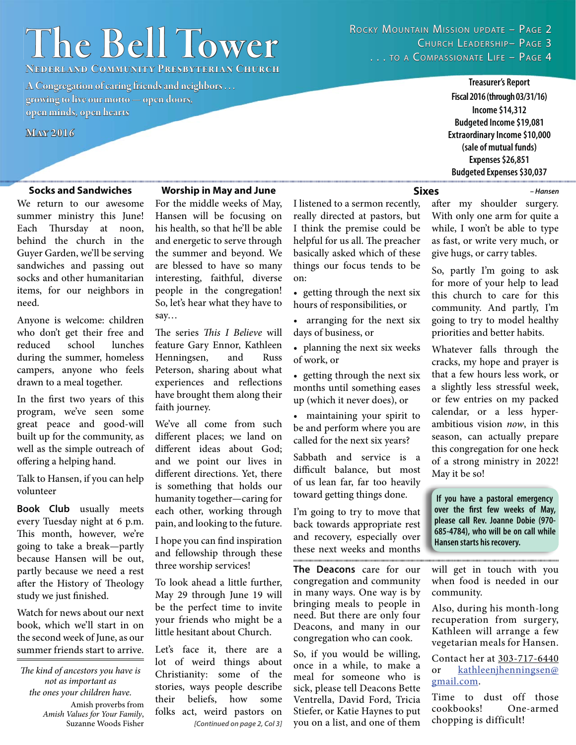# $The Bell Tower$

ROCKY MOUNTAIN MISSION UPDATE – PAGE 2 CHURCH LEADERSHIP- PAGE 3 ... TO A COMPASSIONATE LIFE - PAGE 4

**Nederland Community Presbyterian Church ederland** 

**A Congregation of caring friends and neighbors . . .**  growing to live our motto — open doors, **open minds, open hearts pen** 

**May 2016 ay** 

#### **Socks and Sandwiches**

We return to our awesome summer ministry this June! Each Thursday at noon, behind the church in the Guyer Garden, we'll be serving sandwiches and passing out socks and other humanitarian items, for our neighbors in need.

Anyone is welcome: children who don't get their free and reduced school lunches during the summer, homeless campers, anyone who feels drawn to a meal together.

In the first two years of this program, we've seen some great peace and good-will built up for the community, as well as the simple outreach of offering a helping hand.

Talk to Hansen, if you can help volunteer

**Book Club** usually meets every Tuesday night at 6 p.m. This month, however, we're going to take a break—partly because Hansen will be out, partly because we need a rest after the History of Theology study we just finished.

Watch for news about our next book, which we'll start in on the second week of June, as our summer friends start to arrive.

*The kind of ancestors you have is not as important as the ones your children have.*

> Amish proverbs from *Amish Values for Your Family*, Suzanne Woods Fisher

#### **Worship in May and June**

For the middle weeks of May, Hansen will be focusing on his health, so that he'll be able and energetic to serve through the summer and beyond. We are blessed to have so many interesting, faithful, diverse people in the congregation! So, let's hear what they have to say…

The series *This I Believe* will feature Gary Ennor, Kathleen Henningsen, and Russ Peterson, sharing about what experiences and reflections have brought them along their faith journey.

We've all come from such different places; we land on different ideas about God; and we point our lives in different directions. Yet, there is something that holds our humanity together—caring for each other, working through pain, and looking to the future.

I hope you can find inspiration and fellowship through these three worship services!

To look ahead a little further, May 29 through June 19 will be the perfect time to invite your friends who might be a little hesitant about Church.

*[Continued on page 2, Col 3]* Let's face it, there are a lot of weird things about Christianity: some of the stories, ways people describe their beliefs, how some folks act, weird pastors on

I listened to a sermon recently, really directed at pastors, but I think the premise could be helpful for us all. The preacher basically asked which of these things our focus tends to be on:

• getting through the next six hours of responsibilities, or

• arranging for the next six days of business, or

• planning the next six weeks of work, or

• getting through the next six months until something eases up (which it never does), or

• maintaining your spirit to be and perform where you are called for the next six years?

Sabbath and service is a difficult balance, but most of us lean far, far too heavily toward getting things done.

I'm going to try to move that back towards appropriate rest and recovery, especially over these next weeks and months 

**The Deacons** care for our congregation and community in many ways. One way is by bringing meals to people in need. But there are only four Deacons, and many in our congregation who can cook.

So, if you would be willing, once in a while, to make a meal for someone who is sick, please tell Deacons Bette Ventrella, David Ford, Tricia Stiefer, or Katie Haynes to put you on a list, and one of them

**Sixes**

after my shoulder surgery. With only one arm for quite a while, I won't be able to type as fast, or write very much, or give hugs, or carry tables.

**Treasurer's Report Fiscal 2016 (through 03/31/16) Income \$14,312 Budgeted Income \$19,081 Extraordinary Income \$10,000 (sale of mutual funds) Expenses \$26,851 Budgeted Expenses \$30,037**

*– Hansen*

So, partly I'm going to ask for more of your help to lead this church to care for this community. And partly, I'm going to try to model healthy priorities and better habits.

Whatever falls through the cracks, my hope and prayer is that a few hours less work, or a slightly less stressful week, or few entries on my packed calendar, or a less hyperambitious vision *now*, in this season, can actually prepare this congregation for one heck of a strong ministry in 2022! May it be so!

**If you have a pastoral emergency over the first few weeks of May, please call Rev. Joanne Dobie (970- 685-4784), who will be on call while Hansen starts his recovery.**

will get in touch with you when food is needed in our community.

Also, during his month-long recuperation from surgery, Kathleen will arrange a few vegetarian meals for Hansen.

Contact her at 303-717-6440 or kathleenjhenningsen@ gmail.com.

Time to dust off those<br>cookbooks! One-armed cookbooks! chopping is difficult!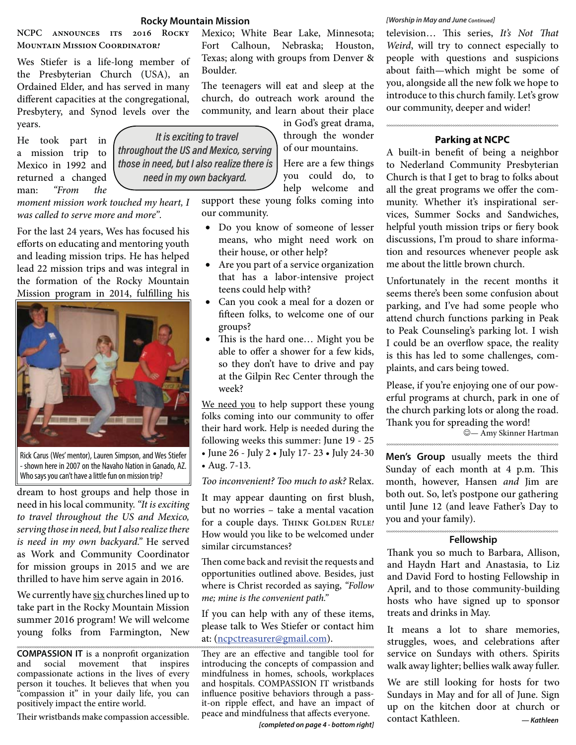#### **Rocky Mountain Mission**

**NCPC announces its 2016 Rocky Mountain Mission Coordinator!** 

Wes Stiefer is a life-long member of the Presbyterian Church (USA), an Ordained Elder, and has served in many different capacities at the congregational, Presbytery, and Synod levels over the years.

He took part in a mission trip to Mexico in 1992 and returned a changed man: *"From the* 



*moment mission work touched my heart, I was called to serve more and more".*

For the last 24 years, Wes has focused his efforts on educating and mentoring youth and leading mission trips. He has helped lead 22 mission trips and was integral in the formation of the Rocky Mountain Mission program in 2014, fulfilling his



Rick Carus (Wes' mentor), Lauren Simpson, and Wes Stiefer - shown here in 2007 on the Navaho Nation in Ganado, AZ. Who says you can't have a little fun on mission trip?

dream to host groups and help those in need in his local community. *"It is exciting to travel throughout the US and Mexico, serving those in need, but I also realize there is need in my own backyard."* He served as Work and Community Coordinator for mission groups in 2015 and we are thrilled to have him serve again in 2016.

We currently have six churches lined up to take part in the Rocky Mountain Mission summer 2016 program! We will welcome young folks from Farmington, New

**COMPASSION IT** is a nonprofit organization and social movement that inspires compassionate actions in the lives of every person it touches. It believes that when you "compassion it" in your daily life, you can positively impact the entire world.

Their wristbands make compassion accessible.

Mexico; White Bear Lake, Minnesota; Fort Calhoun, Nebraska; Houston, Texas; along with groups from Denver & Boulder.

The teenagers will eat and sleep at the church, do outreach work around the community, and learn about their place

in God's great drama, through the wonder of our mountains. Here are a few things

you could do, to help welcome and

support these young folks coming into our community.

- Do you know of someone of lesser means, who might need work on their house, or other help?
- Are you part of a service organization that has a labor-intensive project teens could help with?
- Can you cook a meal for a dozen or fifteen folks, to welcome one of our groups?
- This is the hard one... Might you be able to offer a shower for a few kids, so they don't have to drive and pay at the Gilpin Rec Center through the week?

We need you to help support these young folks coming into our community to offer their hard work. Help is needed during the following weeks this summer: June 19 - 25 • June 26 - July 2 • July 17- 23 • July 24-30

• Aug. 7-13.

*Too inconvenient? Too much to ask?* Relax.

It may appear daunting on first blush, but no worries – take a mental vacation for a couple days. THINK GOLDEN RULE! How would you like to be welcomed under similar circumstances?

Then come back and revisit the requests and opportunities outlined above. Besides, just where is Christ recorded as saying, *"Follow me; mine is the convenient path."*

If you can help with any of these items, please talk to Wes Stiefer or contact him at: (ncpctreasurer@gmail.com).

They are an effective and tangible tool for introducing the concepts of compassion and mindfulness in homes, schools, workplaces and hospitals. COMPASSION IT wristbands influence positive behaviors through a passit-on ripple effect, and have an impact of peace and mindfulness that affects everyone.  $\overline{C}$  contact Kathleen.  $\overline{C}$  *— Kathleen* 

*[completed on page 4 - bottom right]*

#### *[Worship in May and June Continued]*

television... This series, It's Not That *Weird*, will try to connect especially to people with questions and suspicions about faith—which might be some of you, alongside all the new folk we hope to introduce to this church family. Let's grow our community, deeper and wider!

#### **Parking at NCPC**

A built-in benefit of being a neighbor to Nederland Community Presbyterian Church is that I get to brag to folks about all the great programs we offer the community. Whether it's inspirational services, Summer Socks and Sandwiches, helpful youth mission trips or fiery book discussions, I'm proud to share information and resources whenever people ask me about the little brown church.

Unfortunately in the recent months it seems there's been some confusion about parking, and I've had some people who attend church functions parking in Peak to Peak Counseling's parking lot. I wish I could be an overflow space, the reality is this has led to some challenges, complaints, and cars being towed.

Please, if you're enjoying one of our powerful programs at church, park in one of the church parking lots or along the road. Thank you for spreading the word!

— Amy Skinner Hartman

**Men's Group** usually meets the third Sunday of each month at 4 p.m. This month, however, Hansen *and* Jim are both out. So, let's postpone our gathering until June 12 (and leave Father's Day to you and your family).

#### **Fellowship**

Thank you so much to Barbara, Allison, and Haydn Hart and Anastasia, to Liz and David Ford to hosting Fellowship in April, and to those community-building hosts who have signed up to sponsor treats and drinks in May.

It means a lot to share memories, struggles, woes, and celebrations after service on Sundays with others. Spirits walk away lighter; bellies walk away fuller.

We are still looking for hosts for two Sundays in May and for all of June. Sign up on the kitchen door at church or contact Kathleen.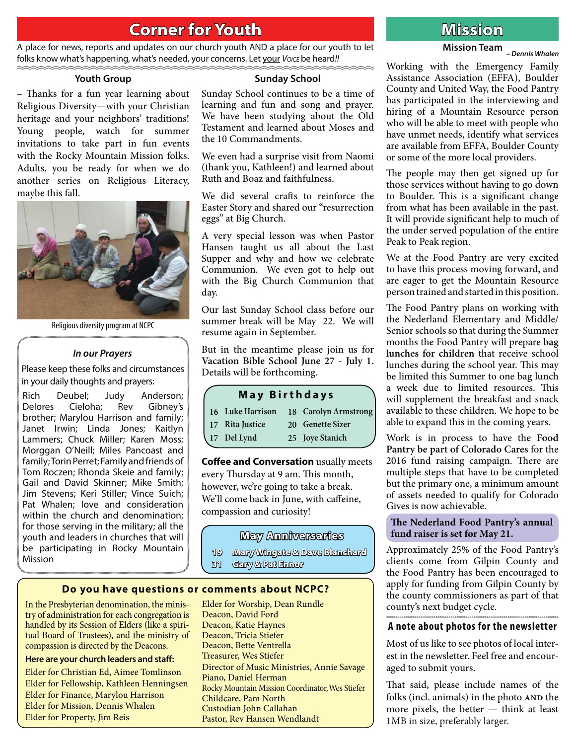## **Corner for Youth original contract of the Mission**

A place for news, reports and updates on our church youth AND a place for our youth to let folks know what's happening, what's needed, your concerns. Let your *Voice* be heard!!

#### **Youth Group**

– Thanks for a fun year learning about Religious Diversity—with your Christian heritage and your neighbors' traditions! Young people, watch for summer invitations to take part in fun events with the Rocky Mountain Mission folks. Adults, you be ready for when we do another series on Religious Literacy, maybe this fall.



Religious diversity program at NCPC

#### *In our Prayers*

Please keep these folks and circumstances in your daily thoughts and prayers:

Rich Deubel; Judy Anderson; Delores Cieloha; Rev Gibney's brother; Marylou Harrison and family; Janet Irwin; Linda Jones; Kaitlyn Lammers; Chuck Miller; Karen Moss; Morggan O'Neill; Miles Pancoast and family; Torin Perret; Family and friends of Tom Roczen; Rhonda Skeie and family; Gail and David Skinner; Mike Smith; Jim Stevens; Keri Stiller; Vince Suich; Pat Whalen; love and consideration within the church and denomination; for those serving in the military; all the youth and leaders in churches that will be participating in Rocky Mountain Mission

#### **Sunday School**

Sunday School continues to be a time of learning and fun and song and prayer. We have been studying about the Old Testament and learned about Moses and the 10 Commandments.

We even had a surprise visit from Naomi (thank you, Kathleen!) and learned about Ruth and Boaz and faithfulness.

We did several crafts to reinforce the Easter Story and shared our "resurrection eggs" at Big Church.

A very special lesson was when Pastor Hansen taught us all about the Last Supper and why and how we celebrate Communion. We even got to help out with the Big Church Communion that day.

Our last Sunday School class before our summer break will be May 22. We will resume again in September.

But in the meantime please join us for **Vacation Bible School June 27 - July 1.** Details will be forthcoming.

#### **May Birthdays**

| 16 Luke Harrison | 18 Carolyn Armstrong |
|------------------|----------------------|
| 17 Rita Justice  | 20 Genette Sizer     |
| 17 Del Lynd      | 25 Joye Stanich      |

**Coffee and Conversation** usually meets every Thursday at 9 am. This month, however, we're going to take a break. We'll come back in June, with caffeine, compassion and curiosity!

#### **May Anniversaries ay**

**19 Mary Wingate & Dave Blanchard ary Dave Blanchard**

Director of Music Ministries, Annie Savage

Rocky Mountain Mission Coordinator, Wes Stiefer

**31 Gary & Pat Ennor ary** 

Deacon, David Ford Deacon, Katie Haynes Deacon, Tricia Stiefer Deacon, Bette Ventrella Treasurer, Wes Stiefer

Piano, Daniel Herman

Childcare, Pam North Custodian John Callahan Pastor, Rev Hansen Wendlandt

Elder for Worship, Dean Rundle

**Do you have questions or comments about NCPC?**

In the Presbyterian denomination, the ministry of administration for each congregation is handled by its Session of Elders (like a spiritual Board of Trustees), and the ministry of compassion is directed by the Deacons.

#### **Here are your church leaders and staff:**

Elder for Christian Ed, Aimee Tomlinson Elder for Fellowship, Kathleen Henningsen Elder for Finance, Marylou Harrison Elder for Mission, Dennis Whalen Elder for Property, Jim Reis

has participated in the interviewing and hiring of a Mountain Resource person who will be able to meet with people who have unmet needs, identify what services are available from EFFA, Boulder County or some of the more local providers. The people may then get signed up for those services without having to go down

to Boulder. This is a significant change from what has been available in the past. It will provide significant help to much of the under served population of the entire Peak to Peak region.

We at the Food Pantry are very excited to have this process moving forward, and are eager to get the Mountain Resource person trained and started in this position.

The Food Pantry plans on working with the Nederland Elementary and Middle/ Senior schools so that during the Summer months the Food Pantry will prepare **bag lunches for children** that receive school lunches during the school year. This may be limited this Summer to one bag lunch a week due to limited resources. This will supplement the breakfast and snack available to these children. We hope to be able to expand this in the coming years.

Work is in process to have the **Food Pantry be part of Colorado Cares** for the 2016 fund raising campaign. There are multiple steps that have to be completed but the primary one, a minimum amount of assets needed to qualify for Colorado Gives is now achievable.

#### The Nederland Food Pantry's annual **fund raiser is set for May 21.**

Approximately 25% of the Food Pantry's clients come from Gilpin County and the Food Pantry has been encouraged to apply for funding from Gilpin County by the county commissioners as part of that county's next budget cycle.

#### **A note about photos for the newsletter**

Most of us like to see photos of local interest in the newsletter. Feel free and encouraged to submit yours.

That said, please include names of the folks (incl. animals) in the photo AND the more pixels, the better — think at least 1MB in size, preferably larger.

**Mission Team** *– Dennis Whalen*

Working with the Emergency Family Assistance Association (EFFA), Boulder County and United Way, the Food Pantry